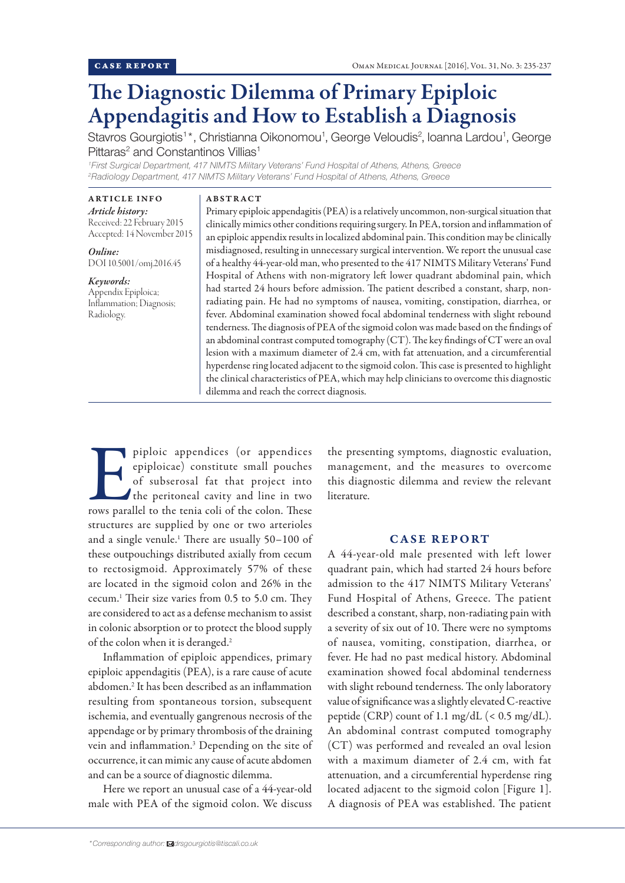# The Diagnostic Dilemma of Primary Epiploic Appendagitis and How to Establish a Diagnosis

Stavros Gourgiotis<sup>1\*</sup>, Christianna Oikonomou<sup>1</sup>, George Veloudis<sup>2</sup>, Ioanna Lardou<sup>1</sup>, George Pittaras<sup>2</sup> and Constantinos Villias<sup>1</sup>

*1 First Surgical Department, 417 NIMTS Military Veterans' Fund Hospital of Athens, Athens, Greece 2 Radiology Department, 417 NIMTS Military Veterans' Fund Hospital of Athens, Athens, Greece*

ARTICLE INFO *Article history:* Received: 22 February 2015 Accepted: 14 November 2015

*Online:* DOI 10.5001/omj.2016.45

*Keywords:* Appendix Epiploica; Inflammation; Diagnosis; Radiology.

## ABSTRACT

Primary epiploic appendagitis (PEA) is a relatively uncommon, non-surgical situation that clinically mimics other conditions requiring surgery. In PEA, torsion and inflammation of an epiploic appendix results in localized abdominal pain. This condition may be clinically misdiagnosed, resulting in unnecessary surgical intervention. We report the unusual case of a healthy 44-year-old man, who presented to the 417 NIMTS Military Veterans' Fund Hospital of Athens with non-migratory left lower quadrant abdominal pain, which had started 24 hours before admission. The patient described a constant, sharp, nonradiating pain. He had no symptoms of nausea, vomiting, constipation, diarrhea, or fever. Abdominal examination showed focal abdominal tenderness with slight rebound tenderness. The diagnosis of PEA of the sigmoid colon was made based on the findings of an abdominal contrast computed tomography (CT). The key findings of CT were an oval lesion with a maximum diameter of 2.4 cm, with fat attenuation, and a circumferential hyperdense ring located adjacent to the sigmoid colon. This case is presented to highlight the clinical characteristics of PEA, which may help clinicians to overcome this diagnostic dilemma and reach the correct diagnosis.

piploic appendices (or appendices epiploicae) constitute small pouches of subserosal fat that project into the peritoneal cavity and line in two rows parallel to the tenia coli of the colon. These epiploicae) constitute small pouches of subserosal fat that project into the peritoneal cavity and line in two structures are supplied by one or two arterioles and a single venule.1 There are usually 50–100 of these outpouchings distributed axially from cecum to rectosigmoid. Approximately 57% of these are located in the sigmoid colon and 26% in the cecum.1 Their size varies from 0.5 to 5.0 cm. They are considered to act as a defense mechanism to assist in colonic absorption or to protect the blood supply of the colon when it is deranged.2

Inflammation of epiploic appendices, primary epiploic appendagitis (PEA), is a rare cause of acute abdomen.<sup>2</sup> It has been described as an inflammation resulting from spontaneous torsion, subsequent ischemia, and eventually gangrenous necrosis of the appendage or by primary thrombosis of the draining vein and inflammation.<sup>3</sup> Depending on the site of occurrence, it can mimic any cause of acute abdomen and can be a source of diagnostic dilemma.

Here we report an unusual case of a 44-year-old male with PEA of the sigmoid colon. We discuss the presenting symptoms, diagnostic evaluation, management, and the measures to overcome this diagnostic dilemma and review the relevant literature.

## CASE REPORT

A 44-year-old male presented with left lower quadrant pain, which had started 24 hours before admission to the 417 NIMTS Military Veterans' Fund Hospital of Athens, Greece. The patient described a constant, sharp, non-radiating pain with a severity of six out of 10. There were no symptoms of nausea, vomiting, constipation, diarrhea, or fever. He had no past medical history. Abdominal examination showed focal abdominal tenderness with slight rebound tenderness. The only laboratory value of significance was a slightly elevated C-reactive peptide (CRP) count of 1.1 mg/dL (< 0.5 mg/dL). An abdominal contrast computed tomography (CT) was performed and revealed an oval lesion with a maximum diameter of 2.4 cm, with fat attenuation, and a circumferential hyperdense ring located adjacent to the sigmoid colon [Figure 1]. A diagnosis of PEA was established. The patient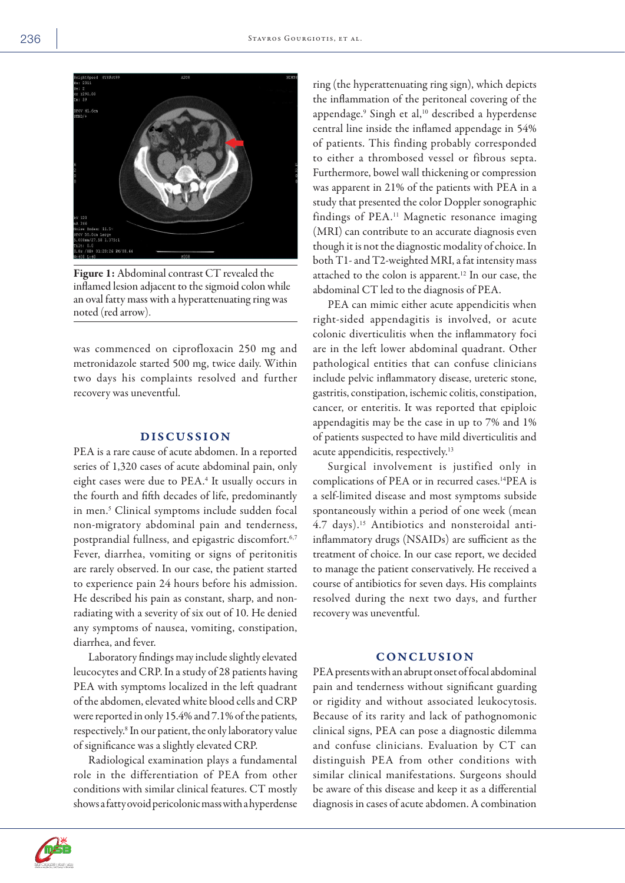

Figure 1: Abdominal contrast CT revealed the inflamed lesion adjacent to the sigmoid colon while an oval fatty mass with a hyperattenuating ring was noted (red arrow).

was commenced on ciprofloxacin 250 mg and metronidazole started 500 mg, twice daily. Within two days his complaints resolved and further recovery was uneventful.

# DISCUSSION

PEA is a rare cause of acute abdomen. In a reported series of 1,320 cases of acute abdominal pain, only eight cases were due to PEA.<sup>4</sup> It usually occurs in the fourth and fifth decades of life, predominantly in men.<sup>5</sup> Clinical symptoms include sudden focal non-migratory abdominal pain and tenderness, postprandial fullness, and epigastric discomfort.<sup>6,7</sup> Fever, diarrhea, vomiting or signs of peritonitis are rarely observed. In our case, the patient started to experience pain 24 hours before his admission. He described his pain as constant, sharp, and nonradiating with a severity of six out of 10. He denied any symptoms of nausea, vomiting, constipation, diarrhea, and fever.

Laboratory findings may include slightly elevated leucocytes and CRP. In a study of 28 patients having PEA with symptoms localized in the left quadrant of the abdomen, elevated white blood cells and CRP were reported in only 15.4% and 7.1% of the patients, respectively.<sup>8</sup> In our patient, the only laboratory value of significance was a slightly elevated CRP.

Radiological examination plays a fundamental role in the differentiation of PEA from other conditions with similar clinical features. CT mostly shows a fatty ovoid pericolonic mass with a hyperdense ring (the hyperattenuating ring sign), which depicts the inflammation of the peritoneal covering of the appendage.<sup>9</sup> Singh et al,10 described a hyperdense central line inside the inflamed appendage in 54% of patients. This finding probably corresponded to either a thrombosed vessel or fibrous septa. Furthermore, bowel wall thickening or compression was apparent in 21% of the patients with PEA in a study that presented the color Doppler sonographic findings of PEA.11 Magnetic resonance imaging (MRI) can contribute to an accurate diagnosis even though it is not the diagnostic modality of choice. In both T1- and T2-weighted MRI, a fat intensity mass attached to the colon is apparent.12 In our case, the abdominal CT led to the diagnosis of PEA.

PEA can mimic either acute appendicitis when right-sided appendagitis is involved, or acute colonic diverticulitis when the inflammatory foci are in the left lower abdominal quadrant. Other pathological entities that can confuse clinicians include pelvic inflammatory disease, ureteric stone, gastritis, constipation, ischemic colitis, constipation, cancer, or enteritis. It was reported that epiploic appendagitis may be the case in up to 7% and 1% of patients suspected to have mild diverticulitis and acute appendicitis, respectively.<sup>13</sup>

Surgical involvement is justified only in complications of PEA or in recurred cases.14PEA is a self-limited disease and most symptoms subside spontaneously within a period of one week (mean 4.7 days).15 Antibiotics and nonsteroidal antiinflammatory drugs (NSAIDs) are sufficient as the treatment of choice. In our case report, we decided to manage the patient conservatively. He received a course of antibiotics for seven days. His complaints resolved during the next two days, and further recovery was uneventful.

## **CONCLUSION**

PEA presents with an abrupt onset of focal abdominal pain and tenderness without significant guarding or rigidity and without associated leukocytosis. Because of its rarity and lack of pathognomonic clinical signs, PEA can pose a diagnostic dilemma and confuse clinicians. Evaluation by CT can distinguish PEA from other conditions with similar clinical manifestations. Surgeons should be aware of this disease and keep it as a differential diagnosis in cases of acute abdomen. A combination